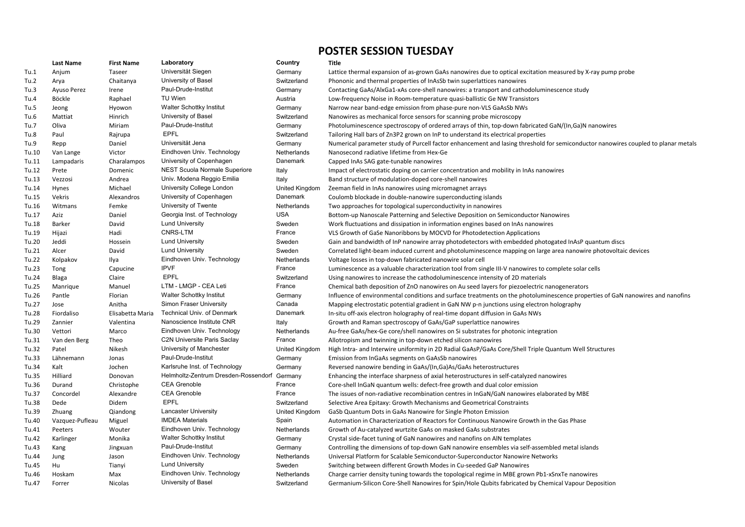|       | <b>Last Name</b> | <b>First Name</b> | Laboratory                           | Country            | <b>Title</b>                                                                                           |
|-------|------------------|-------------------|--------------------------------------|--------------------|--------------------------------------------------------------------------------------------------------|
| Tu.1  | Anjum            | Taseer            | Universität Siegen                   | Germany            | Lattice thermal expansion of as-grown GaAs nanowires due to optical excitation measured by X-ray pump  |
| Tu.2  | Arya             | Chaitanya         | University of Basel                  | Switzerland        | Phononic and thermal properties of InAsSb twin superlattices nanowires                                 |
| Tu.3  | Ayuso Perez      | Irene             | Paul-Drude-Institut                  | Germany            | Contacting GaAs/AlxGa1-xAs core-shell nanowires: a transport and cathodoluminescence study             |
| Tu.4  | Böckle           | Raphael           | TU Wien                              | Austria            | Low-frequency Noise in Room-temperature quasi-ballistic Ge NW Transistors                              |
| Tu.5  | Jeong            | Hyowon            | <b>Walter Schottky Institut</b>      | Germany            | Narrow near band-edge emission from phase-pure non-VLS GaAsSb NWs                                      |
| Tu.6  | Mattiat          | Hinrich           | University of Basel                  | Switzerland        | Nanowires as mechanical force sensors for scanning probe microscopy                                    |
| Tu.7  | Oliva            | Miriam            | Paul-Drude-Institut                  | Germany            | Photoluminescence spectroscopy of ordered arrays of thin, top-down fabricated GaN/(In, Ga)N nanowires  |
| Tu.8  | Paul             | Rajrupa           | <b>EPFL</b>                          | Switzerland        | Tailoring Hall bars of Zn3P2 grown on InP to understand its electrical properties                      |
| Tu.9  | Repp             | Daniel            | Universität Jena                     | Germany            | Numerical parameter study of Purcell factor enhancement and lasing threshold for semiconductor nanow   |
| Tu.10 | Van Lange        | Victor            | Eindhoven Univ. Technology           | Netherlands        | Nanosecond radiative lifetime from Hex-Ge                                                              |
| Tu.11 | Lampadaris       | Charalampos       | University of Copenhagen             | Danemark           | Capped InAs SAG gate-tunable nanowires                                                                 |
| Tu.12 | Prete            | Domenic           | <b>NEST Scuola Normale Superiore</b> | Italy              | Impact of electrostatic doping on carrier concentration and mobility in InAs nanowires                 |
| Tu.13 | Vezzosi          | Andrea            | Univ. Modena Reggio Emilia           | Italy              | Band structure of modulation-doped core-shell nanowires                                                |
| Tu.14 | Hynes            | Michael           | University College London            | United Kingdom     | Zeeman field in InAs nanowires using micromagnet arrays                                                |
| Tu.15 | Vekris           | Alexandros        | University of Copenhagen             | Danemark           | Coulomb blockade in double-nanowire superconducting islands                                            |
| Tu.16 | Witmans          | Femke             | University of Twente                 | Netherlands        | Two approaches for topological superconductivity in nanowires                                          |
| Tu.17 | Aziz             | Daniel            | Georgia Inst. of Technology          | <b>USA</b>         | Bottom-up Nanoscale Patterning and Selective Deposition on Semiconductor Nanowires                     |
| Tu.18 | Barker           | David             | <b>Lund University</b>               | Sweden             | Work fluctuations and dissipation in information engines based on InAs nanowires                       |
| Tu.19 | Hijazi           | Hadi              | <b>CNRS-LTM</b>                      | France             | VLS Growth of GaSe Nanoribbons by MOCVD for Photodetection Applications                                |
| Tu.20 | Jeddi            | Hossein           | <b>Lund University</b>               | Sweden             | Gain and bandwidth of InP nanowire array photodetectors with embedded photogated InAsP quantum di      |
| Tu.21 | Alcer            | David             | <b>Lund University</b>               | Sweden             | Correlated light-beam induced current and photoluminescence mapping on large area nanowire photovo     |
| Tu.22 | Kolpakov         | Ilya              | Eindhoven Univ. Technology           | Netherlands        | Voltage losses in top-down fabricated nanowire solar cell                                              |
| Tu.23 | Tong             | Capucine          | <b>IPVF</b>                          | France             | Luminescence as a valuable characterization tool from single III-V nanowires to complete solar cells   |
| Tu.24 | Blaga            | Claire            | <b>EPFL</b>                          | Switzerland        | Using nanowires to increase the cathodoluminescence intensity of 2D materials                          |
| Tu.25 | Manrique         | Manuel            | LTM - LMGP - CEA Leti                | France             | Chemical bath deposition of ZnO nanowires on Au seed layers for piezoelectric nanogenerators           |
| Tu.26 | Pantle           | Florian           | <b>Walter Schottky Institut</b>      | Germany            | Influence of environmental conditions and surface treatments on the photoluminescence properties of G  |
| Tu.27 | Jose             | Anitha            | <b>Simon Fraser University</b>       | Canada             | Mapping electrostatic potential gradient in GaN NW p-n junctions using electron holography             |
| Tu.28 | Fiordaliso       | Elisabetta Maria  | <b>Technical Univ. of Denmark</b>    | Danemark           | In-situ off-axis electron holography of real-time dopant diffusion in GaAs NWs                         |
| Tu.29 | Zannier          | Valentina         | Nanoscience Institute CNR            | Italy              | Growth and Raman spectroscopy of GaAs/GaP superlattice nanowires                                       |
| Tu.30 | Vettori          | Marco             | Eindhoven Univ. Technology           | Netherlands        | Au-free GaAs/hex-Ge core/shell nanowires on Si substrates for photonic integration                     |
| Tu.31 | Van den Berg     | Theo              | <b>C2N Universite Paris Saclay</b>   | France             | Allotropism and twinning in top-down etched silicon nanowires                                          |
| Tu.32 | Patel            | Nikesh            | University of Manchester             | United Kingdom     | High Intra- and Interwire uniformity in 2D Radial GaAsP/GaAs Core/Shell Triple Quantum Well Structures |
| Tu.33 | Lähnemann        | Jonas             | Paul-Drude-Institut                  | Germany            | Emission from InGaAs segments on GaAsSb nanowires                                                      |
| Tu.34 | Kalt             | Jochen            | Karlsruhe Inst. of Technology        | Germany            | Reversed nanowire bending in GaAs/(In, Ga)As/GaAs heterostructures                                     |
| Tu.35 | Hilliard         | Donovan           | Helmholtz-Zentrum Dresden-Rossendorf | Germany            | Enhancing the interface sharpness of axial heterostructures in self-catalyzed nanowires                |
| Tu.36 | Durand           | Christophe        | <b>CEA Grenoble</b>                  | France             | Core-shell InGaN quantum wells: defect-free growth and dual color emission                             |
| Tu.37 | Concordel        | Alexandre         | <b>CEA Grenoble</b>                  | France             | The issues of non-radiative recombination centres in InGaN/GaN nanowires elaborated by MBE             |
| Tu.38 | Dede             | Didem             | <b>EPFL</b>                          | Switzerland        | Selective Area Epitaxy: Growth Mechanisms and Geometrical Constraints                                  |
| Tu.39 | Zhuang           | Qiandong          | <b>Lancaster University</b>          | United Kingdom     | GaSb Quantum Dots in GaAs Nanowire for Single Photon Emission                                          |
| Tu.40 | Vazquez-Pufleau  | Miguel            | <b>IMDEA Materials</b>               | Spain              | Automation in Characterization of Reactors for Continuous Nanowire Growth in the Gas Phase             |
| Tu.41 | Peeters          | Wouter            | Eindhoven Univ. Technology           | <b>Netherlands</b> | Growth of Au-catalyzed wurtzite GaAs on masked GaAs substrates                                         |
| Tu.42 | Karlinger        | Monika            | <b>Walter Schottky Institut</b>      | Germany            | Crystal side-facet tuning of GaN nanowires and nanofins on AIN templates                               |
| Tu.43 | Kang             | Jingxuan          | Paul-Drude-Institut                  | Germany            | Controlling the dimensions of top-down GaN nanowire ensembles via self-assembled metal islands         |
| Tu.44 | Jung             | Jason             | Eindhoven Univ. Technology           | Netherlands        | Universal Platform for Scalable Semiconductor-Superconductor Nanowire Networks                         |
| Tu.45 | Hu               | Tianyi            | <b>Lund University</b>               | Sweden             | Switching between different Growth Modes in Cu-seeded GaP Nanowires                                    |
| Tu.46 | Hoskam           | Max               | Eindhoven Univ. Technology           | Netherlands        | Charge carrier density tuning towards the topological regime in MBE grown Pb1-xSnxTe nanowires         |
| Tu.47 | Forrer           | Nicolas           | University of Basel                  | Switzerland        | Germanium-Silicon Core-Shell Nanowires for Spin/Hole Qubits fabricated by Chemical Vapour Deposition   |
|       |                  |                   |                                      |                    |                                                                                                        |

POSTER SESSION TUESDAY

asured by X-ray pump probe

semiconductor nanowires coupled to planar metals

ted InAsP quantum discs ea nanowire photovoltaic devices

cence properties of GaN nanowires and nanofins